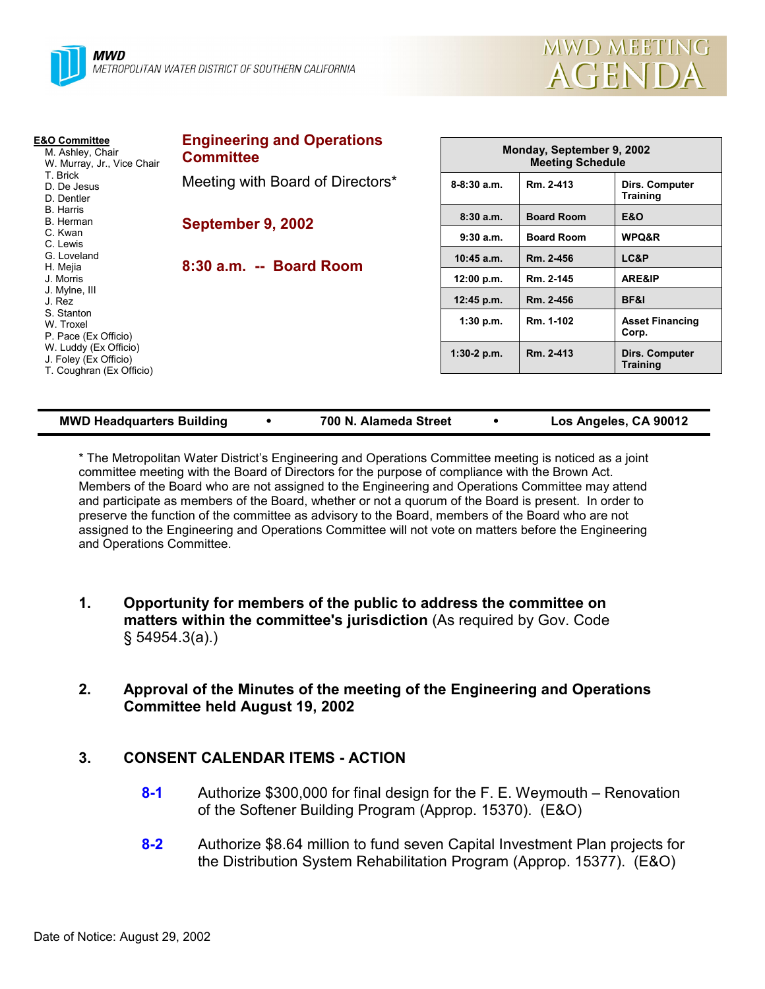

| <b>E&amp;O Committee</b><br>M. Ashley, Chair<br>W. Murray, Jr., Vice Chair<br>T. Brick<br>D. De Jesus<br>D. Dentler<br>B. Harris<br>B. Herman<br>C. Kwan<br>C. Lewis<br>G. Loveland<br>H. Mejia<br>J. Morris<br>J. Mylne, III<br>J. Rez<br>S. Stanton<br>W. Troxel<br>P. Pace (Ex Officio)<br>W. Luddy (Ex Officio)<br>J. Foley (Ex Officio)<br>T. Coughran (Ex Officio) | <b>Engineering and Operations</b><br><b>Committee</b> |                 | Monday, September 9, 2002<br><b>Meeting Schedule</b> |                                   |  |  |
|--------------------------------------------------------------------------------------------------------------------------------------------------------------------------------------------------------------------------------------------------------------------------------------------------------------------------------------------------------------------------|-------------------------------------------------------|-----------------|------------------------------------------------------|-----------------------------------|--|--|
|                                                                                                                                                                                                                                                                                                                                                                          | Meeting with Board of Directors*                      | $8 - 8:30$ a.m. | Rm. 2-413                                            | Dirs. Computer<br><b>Training</b> |  |  |
|                                                                                                                                                                                                                                                                                                                                                                          | September 9, 2002                                     | 8:30a.m.        | <b>Board Room</b>                                    | <b>E&amp;O</b>                    |  |  |
|                                                                                                                                                                                                                                                                                                                                                                          |                                                       | 9:30a.m.        | <b>Board Room</b>                                    | WPQ&R                             |  |  |
|                                                                                                                                                                                                                                                                                                                                                                          | 8:30 a.m. -- Board Room                               | $10:45$ a.m.    | Rm. 2-456                                            | LC&P                              |  |  |
|                                                                                                                                                                                                                                                                                                                                                                          |                                                       | 12:00 p.m.      | Rm. 2-145                                            | ARE&IP                            |  |  |
|                                                                                                                                                                                                                                                                                                                                                                          |                                                       | 12:45 p.m.      | Rm. 2-456                                            | BF&I                              |  |  |
|                                                                                                                                                                                                                                                                                                                                                                          |                                                       | 1:30 p.m.       | Rm. 1-102                                            | <b>Asset Financing</b><br>Corp.   |  |  |
|                                                                                                                                                                                                                                                                                                                                                                          |                                                       | $1:30-2$ p.m.   | Rm. 2-413                                            | Dirs. Computer<br><b>Training</b> |  |  |

| <b>MWD Headquarters Building</b> |  | 700 N. Alameda Street |  | Los Angeles, CA 90012 |
|----------------------------------|--|-----------------------|--|-----------------------|
|----------------------------------|--|-----------------------|--|-----------------------|

\* The Metropolitan Water Districtís Engineering and Operations Committee meeting is noticed as a joint committee meeting with the Board of Directors for the purpose of compliance with the Brown Act. Members of the Board who are not assigned to the Engineering and Operations Committee may attend and participate as members of the Board, whether or not a quorum of the Board is present. In order to preserve the function of the committee as advisory to the Board, members of the Board who are not assigned to the Engineering and Operations Committee will not vote on matters before the Engineering and Operations Committee.

- **1. Opportunity for members of the public to address the committee on matters within the committee's jurisdiction** (As required by Gov. Code ß 54954.3(a).)
- **2. Approval of the Minutes of the meeting of the Engineering and Operations Committee held August 19, 2002**

### **3. CONSENT CALENDAR ITEMS - ACTION**

- **8-1** Authorize \$300,000 for final design for the F. E. Weymouth Renovation of the Softener Building Program (Approp. 15370). (E&O)
- **8-2** Authorize \$8.64 million to fund seven Capital Investment Plan projects for the Distribution System Rehabilitation Program (Approp. 15377). (E&O)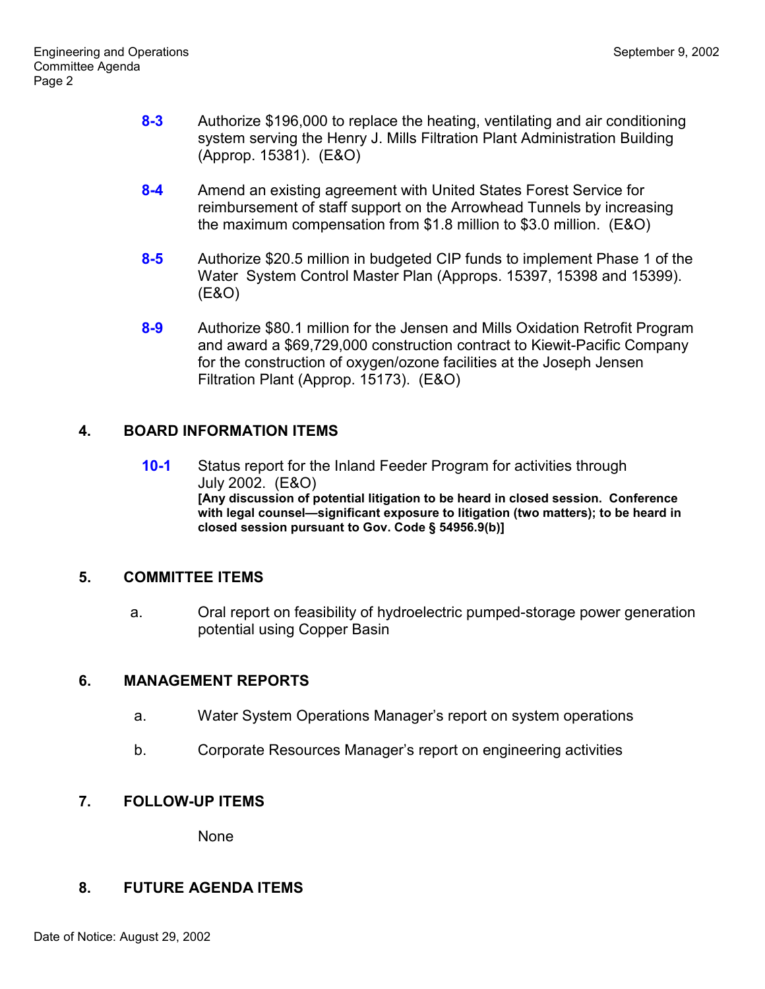- **8-3** Authorize \$196,000 to replace the heating, ventilating and air conditioning system serving the Henry J. Mills Filtration Plant Administration Building (Approp. 15381). (E&O)
- **8-4** Amend an existing agreement with United States Forest Service for reimbursement of staff support on the Arrowhead Tunnels by increasing the maximum compensation from \$1.8 million to \$3.0 million. (E&O)
- **8-5** Authorize \$20.5 million in budgeted CIP funds to implement Phase 1 of the Water System Control Master Plan (Approps. 15397, 15398 and 15399). (E&O)
- **8-9** Authorize \$80.1 million for the Jensen and Mills Oxidation Retrofit Program and award a \$69,729,000 construction contract to Kiewit-Pacific Company for the construction of oxygen/ozone facilities at the Joseph Jensen Filtration Plant (Approp. 15173). (E&O)

# **4. BOARD INFORMATION ITEMS**

**10-1** Status report for the Inland Feeder Program for activities through July 2002. (E&O) **[Any discussion of potential litigation to be heard in closed session. Conference** with legal counsel-significant exposure to litigation (two matters); to be heard in **closed session pursuant to Gov. Code ß 54956.9(b)]**

# **5. COMMITTEE ITEMS**

a. Oral report on feasibility of hydroelectric pumped-storage power generation potential using Copper Basin

### **6. MANAGEMENT REPORTS**

- a. Water System Operations Managerís report on system operations
- b. Corporate Resources Manager's report on engineering activities

# **7. FOLLOW-UP ITEMS**

None

### **8. FUTURE AGENDA ITEMS**